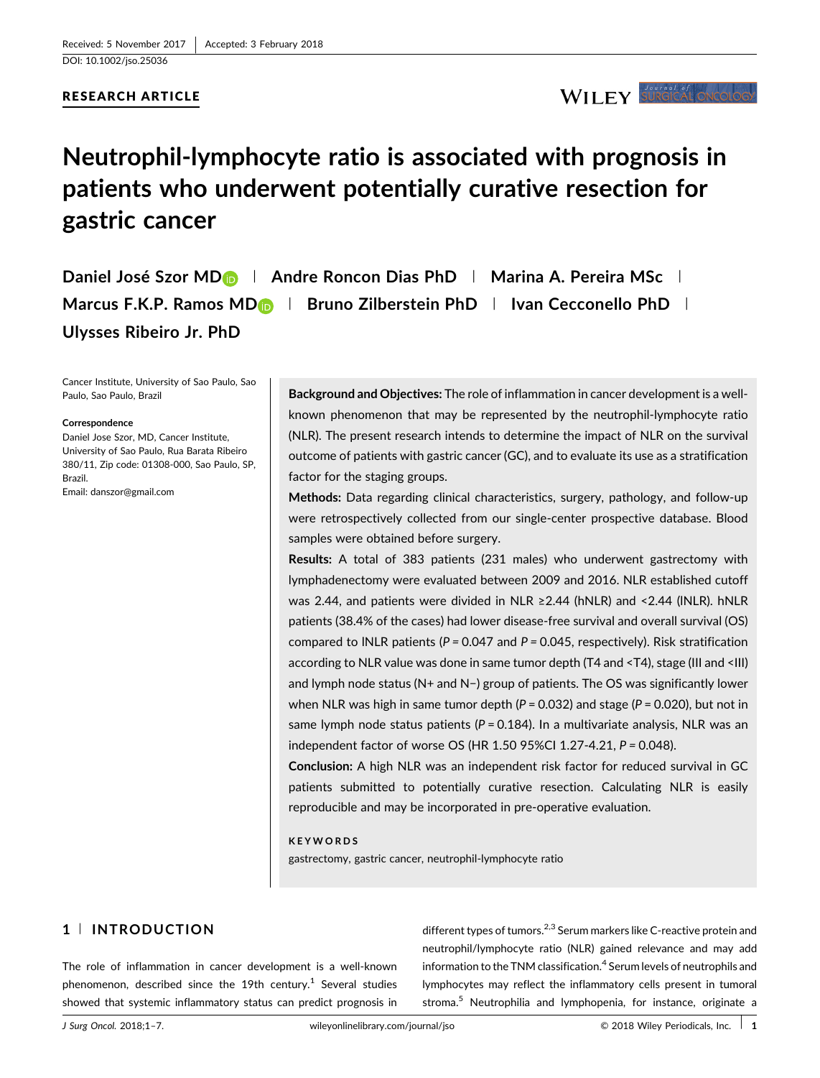

# **Neutrophil-lymphocyte ratio is associated with prognosis in patients who underwent potentially curative resection for gastric cancer**

**Daniel José Szor M[D](http://orcid.org/0000-0002-9727-9241) <sup>|</sup> Andre Roncon Dias PhD <sup>|</sup> Marina A. Pereira MSc <sup>|</sup> Marcus F.K.P. Ramos MD <sup>|</sup> Bruno Zilberstein PhD <sup>|</sup> Ivan Cecconello PhD <sup>|</sup> Ulysses Ribeiro Jr. PhD**

Cancer Institute, University of Sao Paulo, Sao Paulo, Sao Paulo, Brazil

#### **Correspondence**

Daniel Jose Szor, MD, Cancer Institute, University of Sao Paulo, Rua Barata Ribeiro 380/11, Zip code: 01308-000, Sao Paulo, SP, Brazil. Email: danszor@gmail.com

**Background and Objectives:** The role of inflammation in cancer development is a wellknown phenomenon that may be represented by the neutrophil-lymphocyte ratio (NLR). The present research intends to determine the impact of NLR on the survival outcome of patients with gastric cancer (GC), and to evaluate its use as a stratification factor for the staging groups.

**Methods:** Data regarding clinical characteristics, surgery, pathology, and follow-up were retrospectively collected from our single-center prospective database. Blood samples were obtained before surgery.

**Results:** A total of 383 patients (231 males) who underwent gastrectomy with lymphadenectomy were evaluated between 2009 and 2016. NLR established cutoff was 2.44, and patients were divided in NLR ≥2.44 (hNLR) and <2.44 (INLR). hNLR patients (38.4% of the cases) had lower disease-free survival and overall survival (OS) compared to lNLR patients (*P =* 0.047 and *P =* 0.045, respectively). Risk stratification according to NLR value was done in same tumor depth (T4 and <T4), stage (III and <III) and lymph node status (N+ and N−) group of patients. The OS was significantly lower when NLR was high in same tumor depth (*P* = 0.032) and stage (*P* = 0.020), but not in same lymph node status patients (*P* = 0.184). In a multivariate analysis, NLR was an independent factor of worse OS (HR 1.50 95%CI 1.27-4.21, *P =* 0.048).

**Conclusion:** A high NLR was an independent risk factor for reduced survival in GC patients submitted to potentially curative resection. Calculating NLR is easily reproducible and may be incorporated in pre-operative evaluation.

#### **KEYWORDS**

gastrectomy, gastric cancer, neutrophil-lymphocyte ratio

# **1** <sup>|</sup> **INTRODUCTION**

The role of inflammation in cancer development is a well-known phenomenon, described since the 19th century.<sup>1</sup> [Several studies](#page-5-0) showed that systemic inflammatory status can predict prognosis in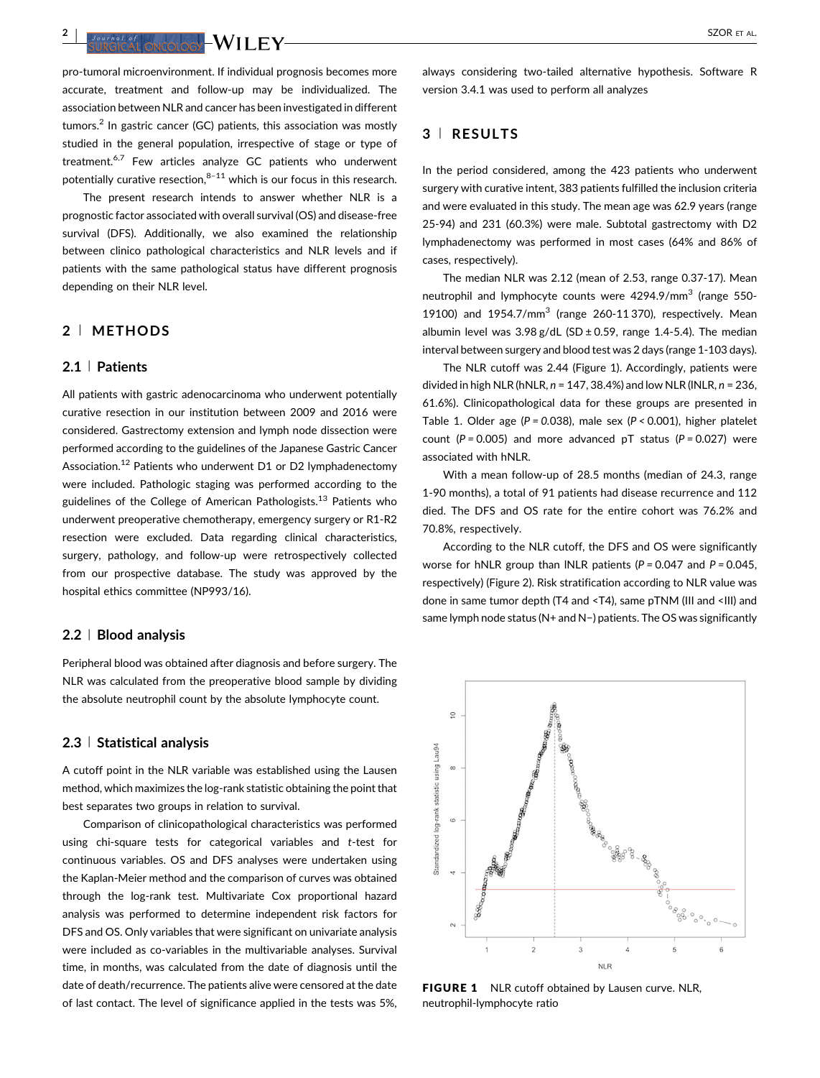**<sup>2</sup>** <sup>|</sup> SZOR ET AL.

pro-tumoral microenvironment. If individual prognosis becomes more accurate, treatment and follow-up may be individualized. The association between NLR and cancer has been investigated in different  $t$ umors.<sup>2</sup> [In gastric cancer \(GC\) patients, this association was mostly](#page-5-0) studied in the general population, irrespective of stage or type of treatment.<sup>6,7</sup> [Few articles analyze GC patients who underwent](#page-5-0) potentially curative resection, $8-11$  [which is our focus in this research.](#page-5-0)

The present research intends to answer whether NLR is a prognostic factor associated with overall survival (OS) and disease-free survival (DFS). Additionally, we also examined the relationship between clinico pathological characteristics and NLR levels and if patients with the same pathological status have different prognosis depending on their NLR level.

# **2** <sup>|</sup> **METHODS**

# **2.1** <sup>|</sup> **Patients**

All patients with gastric adenocarcinoma who underwent potentially curative resection in our institution between 2009 and 2016 were considered. Gastrectomy extension and lymph node dissection were performed according to the guidelines of the Japanese Gastric Cancer Association.<sup>12</sup> [Patients who underwent D1 or D2 lymphadenectomy](#page-5-0) were included. Pathologic staging was performed according to the guidelines of the College of American Pathologists.<sup>13</sup> [Patients who](#page-5-0) underwent preoperative chemotherapy, emergency surgery or R1-R2 resection were excluded. Data regarding clinical characteristics, surgery, pathology, and follow-up were retrospectively collected from our prospective database. The study was approved by the hospital ethics committee (NP993/16).

## **2.2** <sup>|</sup> **Blood analysis**

Peripheral blood was obtained after diagnosis and before surgery. The NLR was calculated from the preoperative blood sample by dividing the absolute neutrophil count by the absolute lymphocyte count.

## **2.3** <sup>|</sup> **Statistical analysis**

A cutoff point in the NLR variable was established using the Lausen method, which maximizes the log-rank statistic obtaining the point that best separates two groups in relation to survival.

Comparison of clinicopathological characteristics was performed using chi-square tests for categorical variables and *t*-test for continuous variables. OS and DFS analyses were undertaken using the Kaplan-Meier method and the comparison of curves was obtained through the log-rank test. Multivariate Cox proportional hazard analysis was performed to determine independent risk factors for DFS and OS. Only variables that were significant on univariate analysis were included as co-variables in the multivariable analyses. Survival time, in months, was calculated from the date of diagnosis until the date of death/recurrence. The patients alive were censored at the date of last contact. The level of significance applied in the tests was 5%,

always considering two-tailed alternative hypothesis. Software R version 3.4.1 was used to perform all analyzes

# **3** <sup>|</sup> **RESULTS**

In the period considered, among the 423 patients who underwent surgery with curative intent, 383 patients fulfilled the inclusion criteria and were evaluated in this study. The mean age was 62.9 years (range 25-94) and 231 (60.3%) were male. Subtotal gastrectomy with D2 lymphadenectomy was performed in most cases (64% and 86% of cases, respectively).

The median NLR was 2.12 (mean of 2.53, range 0.37-17). Mean neutrophil and lymphocyte counts were 4294.9/mm<sup>3</sup> (range 550-19100) and  $1954.7/\text{mm}^3$  (range 260-11370), respectively. Mean albumin level was  $3.98$  g/dL (SD  $\pm$  0.59, range 1.4-5.4). The median interval between surgery and blood test was 2 days (range 1-103 days).

The NLR cutoff was 2.44 (Figure 1). Accordingly, patients were divided in high NLR (hNLR, *n* = 147, 38.4%) and low NLR (lNLR, *n* = 236, 61.6%). Clinicopathological data for these groups are presented in Table [1](#page-2-0). Older age (*P = 0.*038), male sex (*P <* 0.001), higher platelet count (*P =* 0.005) and more advanced pT status (*P =* 0.027) were associated with hNLR.

With a mean follow-up of 28.5 months (median of 24.3, range 1-90 months), a total of 91 patients had disease recurrence and 112 died. The DFS and OS rate for the entire cohort was 76.2% and 70.8%, respectively.

According to the NLR cutoff, the DFS and OS were significantly worse for hNLR group than lNLR patients (*P =* 0.047 and *P =* 0.045, respectively) (Figure 2). Risk stratification according to NLR value was done in same tumor depth (T4 and <T4), same pTNM (III and <III) and same lymph node status (N+ and N−) patients. The OS was significantly



FIGURE 1 NLR cutoff obtained by Lausen curve. NLR, neutrophil-lymphocyte ratio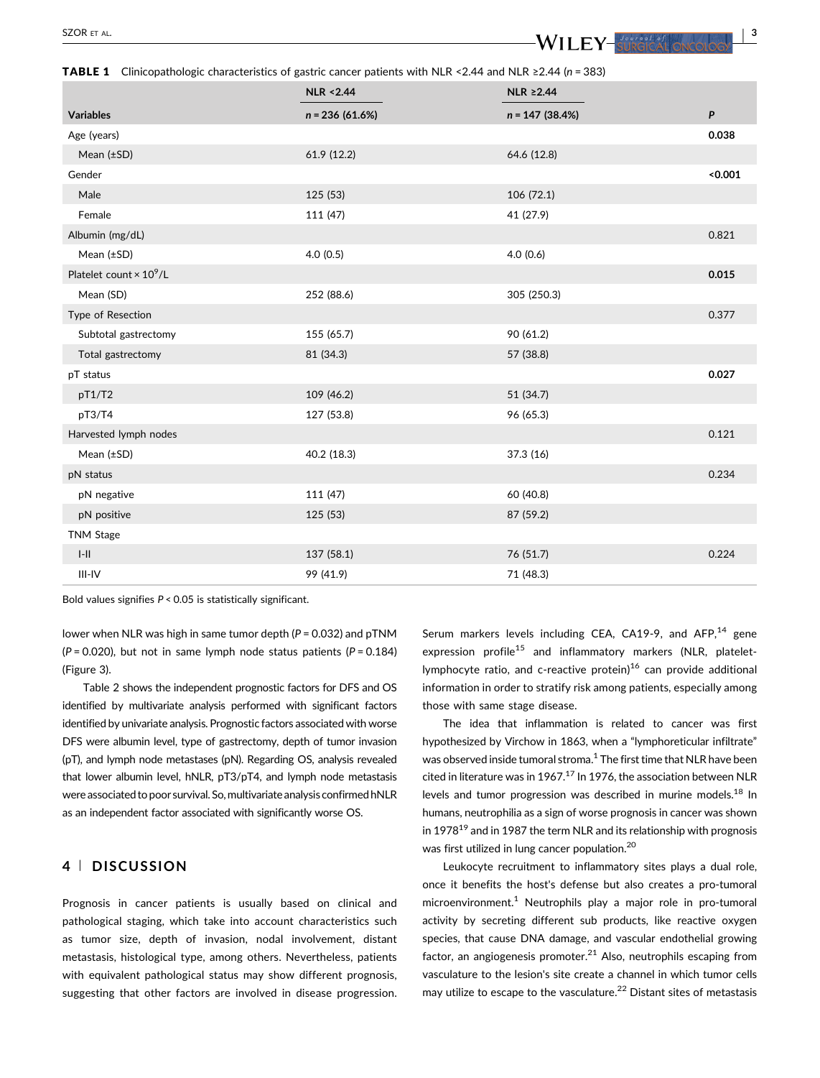<span id="page-2-0"></span>TABLE 1 Clinicopathologic characteristics of gastric cancer patients with NLR <2.44 and NLR ≥2.44 (*n* = 383)

|                                            | <b>NLR &lt;2.44</b> | NLR ≥2.44         |         |
|--------------------------------------------|---------------------|-------------------|---------|
| <b>Variables</b>                           | $n = 236(61.6%)$    | $n = 147$ (38.4%) | P       |
| Age (years)                                |                     |                   | 0.038   |
| Mean $(\pm SD)$                            | 61.9 (12.2)         | 64.6 (12.8)       |         |
| Gender                                     |                     |                   | < 0.001 |
| Male                                       | 125 (53)            | 106 (72.1)        |         |
| Female                                     | 111 (47)            | 41 (27.9)         |         |
| Albumin (mg/dL)                            |                     |                   | 0.821   |
| Mean $(\pm SD)$                            | 4.0(0.5)            | 4.0(0.6)          |         |
| Platelet count $\times$ 10 <sup>9</sup> /L |                     |                   | 0.015   |
| Mean (SD)                                  | 252 (88.6)          | 305 (250.3)       |         |
| Type of Resection                          |                     |                   | 0.377   |
| Subtotal gastrectomy                       | 155 (65.7)          | 90 (61.2)         |         |
| Total gastrectomy                          | 81 (34.3)           | 57 (38.8)         |         |
| pT status                                  |                     |                   | 0.027   |
| pT1/T2                                     | 109 (46.2)          | 51 (34.7)         |         |
| pT3/T4                                     | 127 (53.8)          | 96 (65.3)         |         |
| Harvested lymph nodes                      |                     |                   | 0.121   |
| Mean $(\pm SD)$                            | 40.2 (18.3)         | 37.3 (16)         |         |
| pN status                                  |                     |                   | 0.234   |
| pN negative                                | 111 (47)            | 60 (40.8)         |         |
| pN positive                                | 125 (53)            | 87 (59.2)         |         |
| <b>TNM Stage</b>                           |                     |                   |         |
| $\left\  - \right\  \right\ $              | 137 (58.1)          | 76 (51.7)         | 0.224   |
| $III-IV$                                   | 99 (41.9)           | 71 (48.3)         |         |

Bold values signifies *P* < 0.05 is statistically significant.

lower when NLR was high in same tumor depth ( $P = 0.032$ ) and pTNM  $(P = 0.020)$ , but not in same lymph node status patients  $(P = 0.184)$ (Figure 3).

Table [2](#page-4-0) shows the independent prognostic factors for DFS and OS identified by multivariate analysis performed with significant factors identified by univariate analysis. Prognostic factors associated with worse DFS were albumin level, type of gastrectomy, depth of tumor invasion (pT), and lymph node metastases (pN). Regarding OS, analysis revealed that lower albumin level, hNLR, pT3/pT4, and lymph node metastasis were associated to poor survival. So, multivariate analysis confirmed hNLR as an independent factor associated with significantly worse OS.

# **4** <sup>|</sup> **DISCUSSION**

Prognosis in cancer patients is usually based on clinical and pathological staging, which take into account characteristics such as tumor size, depth of invasion, nodal involvement, distant metastasis, histological type, among others. Nevertheless, patients with equivalent pathological status may show different prognosis, suggesting that other factors are involved in disease progression. Serum markers levels including CEA, CA19-9, and AFP, $^{14}$  [gene](#page-5-0) expression profile<sup>15</sup> [and inflammatory markers \(NLR, platelet](#page-5-0)lymphocyte ratio, and c-reactive protein) $16$  [can provide additional](#page-5-0) information in order to stratify risk among patients, especially among those with same stage disease.

The idea that inflammation is related to cancer was first hypothesized by Virchow in 1863, when a "lymphoreticular infiltrate" was observed inside tumoral stroma.<sup>1</sup> [The first time that NLR have been](#page-5-0) cited in literature was in 1967. $^{17}$  [In 1976, the association between NLR](#page-5-0) levels and tumor progression was described in murine models.<sup>18</sup> In humans, neutrophilia as a sign of worse prognosis in cancer was shown in  $1978^{19}$  [and in 1987 the term NLR and its relationship with prognosis](#page-5-0) was first utilized in lung cancer population[.20](#page-5-0)

Leukocyte recruitment to inflammatory sites plays a dual role, once it benefits the host's defense but also creates a pro-tumoral microenvironment.<sup>1</sup> [Neutrophils play a major role in pro-tumoral](#page-5-0) activity by secreting different sub products, like reactive oxygen species, that cause DNA damage, and vascular endothelial growing factor, an angiogenesis promoter. $^{21}$  [Also, neutrophils escaping from](#page-5-0) vasculature to the lesion's site create a channel in which tumor cells may utilize to escape to the vasculature.<sup>22</sup> [Distant sites of metastasis](#page-5-0)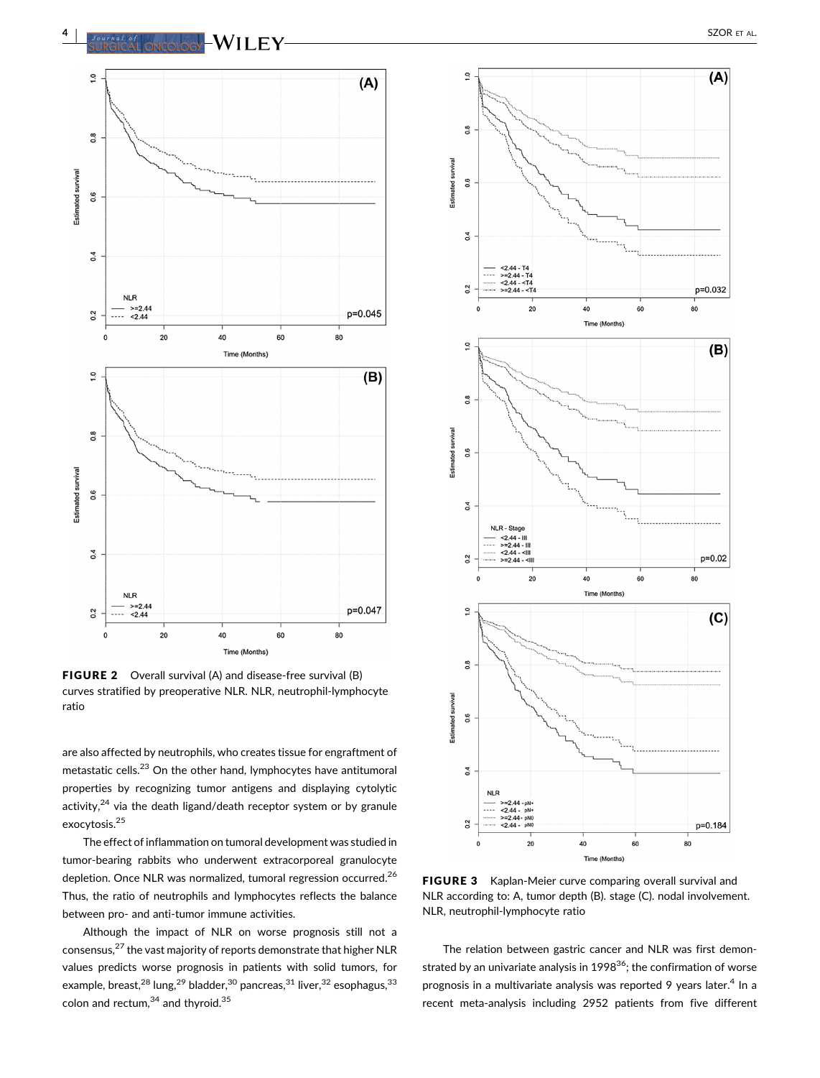

FIGURE 2 Overall survival (A) and disease-free survival (B) curves stratified by preoperative NLR. NLR, neutrophil-lymphocyte ratio

are also affected by neutrophils, who creates tissue for engraftment of metastatic cells.<sup>23</sup> [On the other hand, lymphocytes have antitumoral](#page-5-0) properties by recognizing tumor antigens and displaying cytolytic activity, $24$  [via the death ligand/death receptor system or by granule](#page-5-0) exocytosis.[25](#page-5-0)

The effect of inflammation on tumoral development was studied in tumor-bearing rabbits who underwent extracorporeal granulocyte depletion. Once NLR was normalized, tumoral regression occurred.<sup>[26](#page-5-0)</sup> Thus, the ratio of neutrophils and lymphocytes reflects the balance between pro- and anti-tumor immune activities.

Although the impact of NLR on worse prognosis still not a consensus,27 [the vast majority of reports demonstrate that higher NLR](#page-5-0) values predicts worse prognosis in patients with solid tumors, for example, breast,  $28 \text{ lung}, 29 \text{ bladder}, 30 \text{ pancreas}, 31 \text{ liver}, 32 \text{ esophagus}, 33 \text{°}$  $28 \text{ lung}, 29 \text{ bladder}, 30 \text{ pancreas}, 31 \text{ liver}, 32 \text{ esophagus}, 33 \text{°}$  $28 \text{ lung}, 29 \text{ bladder}, 30 \text{ pancreas}, 31 \text{ liver}, 32 \text{ esophagus}, 33 \text{°}$ colon and rectum, $34$  [and thyroid.](#page-5-0) $35$ 



FIGURE 3 Kaplan-Meier curve comparing overall survival and NLR according to: A, tumor depth (B). stage (C). nodal involvement. NLR, neutrophil-lymphocyte ratio

The relation between gastric cancer and NLR was first demonstrated by an univariate analysis in 1998 $36$ ; the confirmation of worse prognosis in a multivariate analysis was reported 9 years later.<sup>4</sup> [In a](#page-5-0) recent meta-analysis including 2952 patients from five different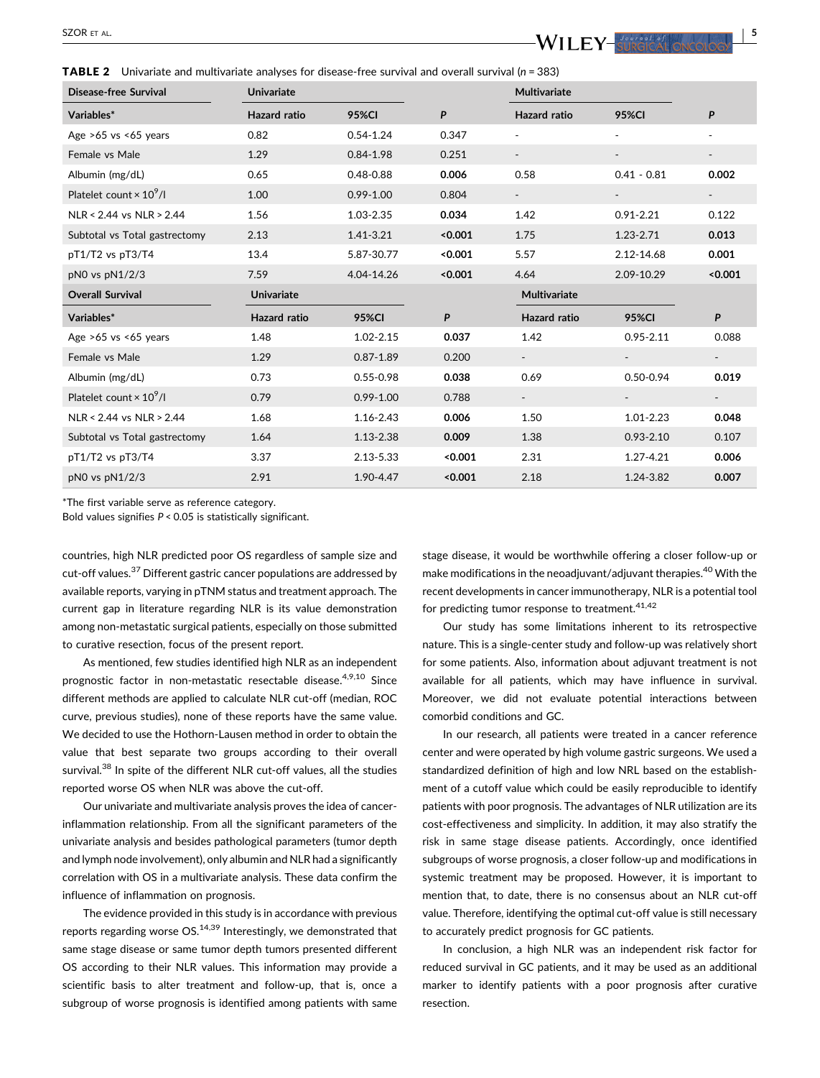<span id="page-4-0"></span>SZOR ET AL.  $\blacksquare$ 

TABLE 2 Univariate and multivariate analyses for disease-free survival and overall survival (*n* = 383)

| Disease-free Survival           | <b>Univariate</b>   |               |         | Multivariate             |               |         |
|---------------------------------|---------------------|---------------|---------|--------------------------|---------------|---------|
| Variables*                      | <b>Hazard</b> ratio | <b>95%CI</b>  | P       | <b>Hazard ratio</b>      | <b>95%CI</b>  | P       |
| Age $>65$ vs $<65$ years        | 0.82                | $0.54 - 1.24$ | 0.347   |                          |               |         |
| Female vs Male                  | 1.29                | $0.84 - 1.98$ | 0.251   |                          |               |         |
| Albumin (mg/dL)                 | 0.65                | $0.48 - 0.88$ | 0.006   | 0.58                     | $0.41 - 0.81$ | 0.002   |
| Platelet count $\times 10^9$ /l | 1.00                | $0.99 - 1.00$ | 0.804   | $\blacksquare$           |               |         |
| NLR < 2.44 vs NLR > 2.44        | 1.56                | 1.03-2.35     | 0.034   | 1.42                     | $0.91 - 2.21$ | 0.122   |
| Subtotal vs Total gastrectomy   | 2.13                | 1.41-3.21     | < 0.001 | 1.75                     | 1.23-2.71     | 0.013   |
| pT1/T2 vs pT3/T4                | 13.4                | 5.87-30.77    | < 0.001 | 5.57                     | 2.12-14.68    | 0.001   |
| pN0 vs pN1/2/3                  | 7.59                | 4.04-14.26    | < 0.001 | 4.64                     | 2.09-10.29    | < 0.001 |
| <b>Overall Survival</b>         | <b>Univariate</b>   |               |         | <b>Multivariate</b>      |               |         |
| Variables*                      | <b>Hazard ratio</b> | <b>95%CI</b>  | P       | <b>Hazard ratio</b>      | <b>95%CI</b>  | P       |
| Age $>65$ vs $<65$ years        | 1.48                | $1.02 - 2.15$ | 0.037   | 1.42                     | $0.95 - 2.11$ | 0.088   |
| Female vs Male                  | 1.29                | $0.87 - 1.89$ | 0.200   |                          |               |         |
| Albumin (mg/dL)                 | 0.73                | $0.55 - 0.98$ | 0.038   | 0.69                     | $0.50 - 0.94$ | 0.019   |
| Platelet count $\times 10^9$ /l | 0.79                | $0.99 - 1.00$ | 0.788   | $\overline{\phantom{a}}$ | $\sim$        | $\sim$  |
| $NLR < 2.44$ vs $NLR > 2.44$    | 1.68                | 1.16-2.43     | 0.006   | 1.50                     | 1.01-2.23     | 0.048   |
| Subtotal vs Total gastrectomy   | 1.64                | 1.13-2.38     | 0.009   | 1.38                     | $0.93 - 2.10$ | 0.107   |
| $pT1/T2$ vs $pT3/T4$            | 3.37                | 2.13-5.33     | < 0.001 | 2.31                     | 1.27-4.21     | 0.006   |
| pN0 vs pN1/2/3                  | 2.91                | 1.90-4.47     | < 0.001 | 2.18                     | 1.24-3.82     | 0.007   |

\*The first variable serve as reference category.

Bold values signifies *P* < 0.05 is statistically significant.

countries, high NLR predicted poor OS regardless of sample size and cut-off values.<sup>37</sup> [Different gastric cancer populations are addressed by](#page-6-0) available reports, varying in pTNM status and treatment approach. The current gap in literature regarding NLR is its value demonstration among non-metastatic surgical patients, especially on those submitted to curative resection, focus of the present report.

As mentioned, few studies identified high NLR as an independent prognostic factor in non-metastatic resectable disease.<sup>4,9,10</sup> [Since](#page-5-0) different methods are applied to calculate NLR cut-off (median, ROC curve, previous studies), none of these reports have the same value. We decided to use the Hothorn-Lausen method in order to obtain the value that best separate two groups according to their overall survival.<sup>38</sup> [In spite of the different NLR cut-off values, all the studies](#page-6-0) reported worse OS when NLR was above the cut-off.

Our univariate and multivariate analysis proves the idea of cancerinflammation relationship. From all the significant parameters of the univariate analysis and besides pathological parameters (tumor depth and lymph node involvement), only albumin and NLR had a significantly correlation with OS in a multivariate analysis. These data confirm the influence of inflammation on prognosis.

The evidence provided in this study is in accordance with previous reports regarding worse  $OS^{14,39}$  [Interestingly, we demonstrated that](#page-5-0) same stage disease or same tumor depth tumors presented different OS according to their NLR values. This information may provide a scientific basis to alter treatment and follow-up, that is, once a subgroup of worse prognosis is identified among patients with same

stage disease, it would be worthwhile offering a closer follow-up or make modifications in the neoadjuvant/adjuvant therapies.40 [With the](#page-6-0) recent developments in cancer immunotherapy, NLR is a potential tool for predicting tumor response to treatment.  $41,42$ 

Our study has some limitations inherent to its retrospective nature. This is a single-center study and follow-up was relatively short for some patients. Also, information about adjuvant treatment is not available for all patients, which may have influence in survival. Moreover, we did not evaluate potential interactions between comorbid conditions and GC.

In our research, all patients were treated in a cancer reference center and were operated by high volume gastric surgeons. We used a standardized definition of high and low NRL based on the establishment of a cutoff value which could be easily reproducible to identify patients with poor prognosis. The advantages of NLR utilization are its cost-effectiveness and simplicity. In addition, it may also stratify the risk in same stage disease patients. Accordingly, once identified subgroups of worse prognosis, a closer follow-up and modifications in systemic treatment may be proposed. However, it is important to mention that, to date, there is no consensus about an NLR cut-off value. Therefore, identifying the optimal cut-off value is still necessary to accurately predict prognosis for GC patients.

In conclusion, a high NLR was an independent risk factor for reduced survival in GC patients, and it may be used as an additional marker to identify patients with a poor prognosis after curative resection.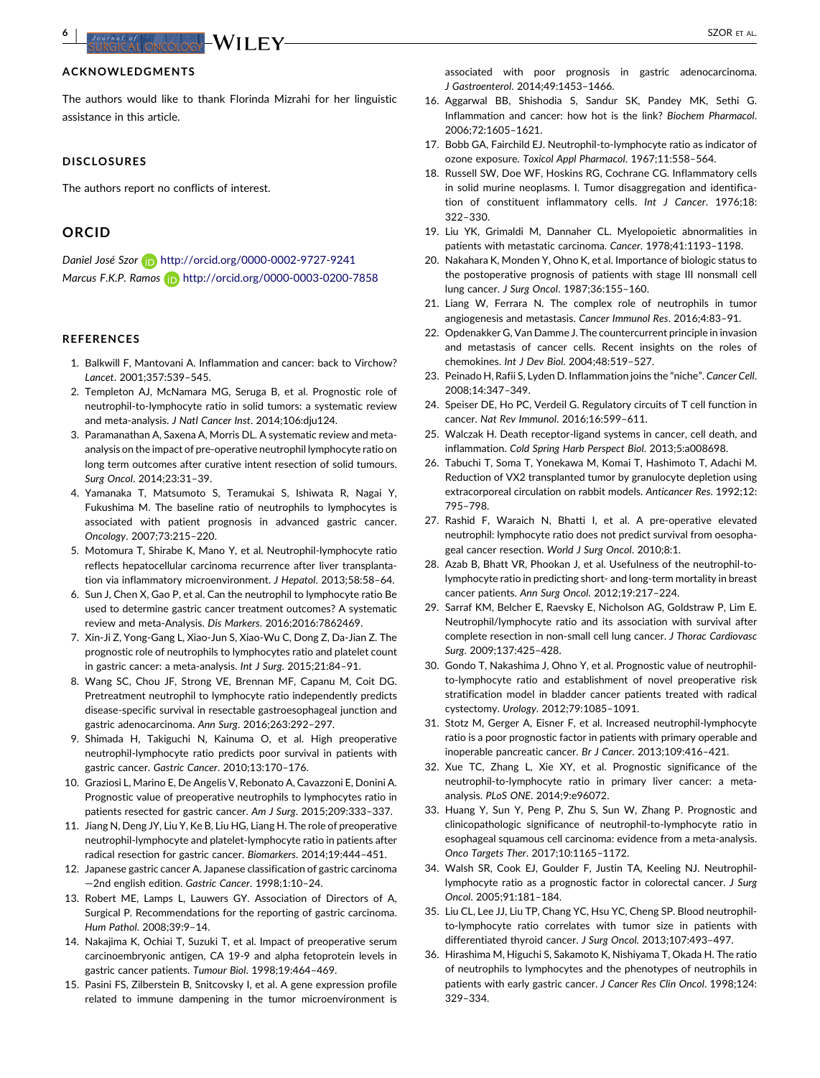<span id="page-5-0"></span>**6** | Szornac et al. **1999 | SZOR** ET AL. **III | III | III | III** | III | III | III | III | III | III | III | III | III | III | III | III | III | III | III | III | III | III | III | III | III | III | III | III | III | III

## **ACKNOWLEDGMENTS**

The authors would like to thank Florinda Mizrahi for her linguistic assistance in this article.

### **DISCLOSURES**

The authors report no conflicts of interest.

## **ORCID**

*Daniel José Szor* http://orcid.org/0000-0002-9727-9241 *Marcus F.K.P. Ramos* http://orcid.org/0000-0003-0200-7858

## **REFERENCES**

- 1. Balkwill F, Mantovani A. Inflammation and cancer: back to Virchow? *Lancet*. 2001;357:539–545.
- 2. Templeton AJ, McNamara MG, Seruga B, et al. Prognostic role of neutrophil-to-lymphocyte ratio in solid tumors: a systematic review and meta-analysis. *J Natl Cancer Inst*. 2014;106:dju124.
- 3. Paramanathan A, Saxena A, Morris DL. A systematic review and metaanalysis on the impact of pre-operative neutrophil lymphocyte ratio on long term outcomes after curative intent resection of solid tumours. *Surg Oncol*. 2014;23:31–39.
- 4. Yamanaka T, Matsumoto S, Teramukai S, Ishiwata R, Nagai Y, Fukushima M. The baseline ratio of neutrophils to lymphocytes is associated with patient prognosis in advanced gastric cancer. *Oncology*. 2007;73:215–220.
- 5. Motomura T, Shirabe K, Mano Y, et al. Neutrophil-lymphocyte ratio reflects hepatocellular carcinoma recurrence after liver transplantation via inflammatory microenvironment. *J Hepatol*. 2013;58:58–64.
- 6. Sun J, Chen X, Gao P, et al. Can the neutrophil to lymphocyte ratio Be used to determine gastric cancer treatment outcomes? A systematic review and meta-Analysis. *Dis Markers*. 2016;2016:7862469.
- 7. Xin-Ji Z, Yong-Gang L, Xiao-Jun S, Xiao-Wu C, Dong Z, Da-Jian Z. The prognostic role of neutrophils to lymphocytes ratio and platelet count in gastric cancer: a meta-analysis. *Int J Surg*. 2015;21:84–91.
- 8. Wang SC, Chou JF, Strong VE, Brennan MF, Capanu M, Coit DG. Pretreatment neutrophil to lymphocyte ratio independently predicts disease-specific survival in resectable gastroesophageal junction and gastric adenocarcinoma. *Ann Surg*. 2016;263:292–297.
- 9. Shimada H, Takiguchi N, Kainuma O, et al. High preoperative neutrophil-lymphocyte ratio predicts poor survival in patients with gastric cancer. *Gastric Cancer*. 2010;13:170–176.
- 10. Graziosi L, Marino E, De Angelis V, Rebonato A, Cavazzoni E, Donini A. Prognostic value of preoperative neutrophils to lymphocytes ratio in patients resected for gastric cancer. *Am J Surg*. 2015;209:333–337.
- 11. Jiang N, Deng JY, Liu Y, Ke B, Liu HG, Liang H. The role of preoperative neutrophil-lymphocyte and platelet-lymphocyte ratio in patients after radical resection for gastric cancer. *Biomarkers*. 2014;19:444–451.
- 12. Japanese gastric cancer A. Japanese classification of gastric carcinoma —2nd english edition. *Gastric Cancer*. 1998;1:10–24.
- 13. Robert ME, Lamps L, Lauwers GY. Association of Directors of A, Surgical P. Recommendations for the reporting of gastric carcinoma. *Hum Pathol*. 2008;39:9–14.
- 14. Nakajima K, Ochiai T, Suzuki T, et al. Impact of preoperative serum carcinoembryonic antigen, CA 19-9 and alpha fetoprotein levels in gastric cancer patients. *Tumour Biol*. 1998;19:464–469.
- 15. Pasini FS, Zilberstein B, Snitcovsky I, et al. A gene expression profile related to immune dampening in the tumor microenvironment is

associated with poor prognosis in gastric adenocarcinoma. *J Gastroenterol*. 2014;49:1453–1466.

- 16. Aggarwal BB, Shishodia S, Sandur SK, Pandey MK, Sethi G. Inflammation and cancer: how hot is the link? *Biochem Pharmacol*. 2006;72:1605–1621.
- 17. Bobb GA, Fairchild EJ. Neutrophil-to-lymphocyte ratio as indicator of ozone exposure. *Toxicol Appl Pharmacol*. 1967;11:558–564.
- 18. Russell SW, Doe WF, Hoskins RG, Cochrane CG. Inflammatory cells in solid murine neoplasms. I. Tumor disaggregation and identification of constituent inflammatory cells. *Int J Cancer*. 1976;18: 322–330.
- 19. Liu YK, Grimaldi M, Dannaher CL. Myelopoietic abnormalities in patients with metastatic carcinoma. *Cancer*. 1978;41:1193–1198.
- 20. Nakahara K, Monden Y, Ohno K, et al. Importance of biologic status to the postoperative prognosis of patients with stage III nonsmall cell lung cancer. *J Surg Oncol*. 1987;36:155–160.
- 21. Liang W, Ferrara N. The complex role of neutrophils in tumor angiogenesis and metastasis. *Cancer Immunol Res*. 2016;4:83–91.
- 22. Opdenakker G, Van Damme J. The countercurrent principle in invasion and metastasis of cancer cells. Recent insights on the roles of chemokines. *Int J Dev Biol*. 2004;48:519–527.
- 23. Peinado H, Rafii S, Lyden D. Inflammation joins the "niche". *Cancer Cell*. 2008;14:347–349.
- 24. Speiser DE, Ho PC, Verdeil G. Regulatory circuits of T cell function in cancer. *Nat Rev Immunol*. 2016;16:599–611.
- 25. Walczak H. Death receptor-ligand systems in cancer, cell death, and inflammation. *Cold Spring Harb Perspect Biol*. 2013;5:a008698.
- 26. Tabuchi T, Soma T, Yonekawa M, Komai T, Hashimoto T, Adachi M. Reduction of VX2 transplanted tumor by granulocyte depletion using extracorporeal circulation on rabbit models. *Anticancer Res*. 1992;12: 795–798.
- 27. Rashid F, Waraich N, Bhatti I, et al. A pre-operative elevated neutrophil: lymphocyte ratio does not predict survival from oesophageal cancer resection. *World J Surg Oncol*. 2010;8:1.
- 28. Azab B, Bhatt VR, Phookan J, et al. Usefulness of the neutrophil-tolymphocyte ratio in predicting short- and long-term mortality in breast cancer patients. *Ann Surg Oncol*. 2012;19:217–224.
- 29. Sarraf KM, Belcher E, Raevsky E, Nicholson AG, Goldstraw P, Lim E. Neutrophil/lymphocyte ratio and its association with survival after complete resection in non-small cell lung cancer. *J Thorac Cardiovasc Surg*. 2009;137:425–428.
- 30. Gondo T, Nakashima J, Ohno Y, et al. Prognostic value of neutrophilto-lymphocyte ratio and establishment of novel preoperative risk stratification model in bladder cancer patients treated with radical cystectomy. *Urology*. 2012;79:1085–1091.
- 31. Stotz M, Gerger A, Eisner F, et al. Increased neutrophil-lymphocyte ratio is a poor prognostic factor in patients with primary operable and inoperable pancreatic cancer. *Br J Cancer*. 2013;109:416–421.
- 32. Xue TC, Zhang L, Xie XY, et al. Prognostic significance of the neutrophil-to-lymphocyte ratio in primary liver cancer: a metaanalysis. *PLoS ONE*. 2014;9:e96072.
- 33. Huang Y, Sun Y, Peng P, Zhu S, Sun W, Zhang P. Prognostic and clinicopathologic significance of neutrophil-to-lymphocyte ratio in esophageal squamous cell carcinoma: evidence from a meta-analysis. *Onco Targets Ther*. 2017;10:1165–1172.
- 34. Walsh SR, Cook EJ, Goulder F, Justin TA, Keeling NJ. Neutrophillymphocyte ratio as a prognostic factor in colorectal cancer. *J Surg Oncol*. 2005;91:181–184.
- 35. Liu CL, Lee JJ, Liu TP, Chang YC, Hsu YC, Cheng SP. Blood neutrophilto-lymphocyte ratio correlates with tumor size in patients with differentiated thyroid cancer. *J Surg Oncol*. 2013;107:493–497.
- 36. Hirashima M, Higuchi S, Sakamoto K, Nishiyama T, Okada H. The ratio of neutrophils to lymphocytes and the phenotypes of neutrophils in patients with early gastric cancer. *J Cancer Res Clin Oncol*. 1998;124: 329–334.